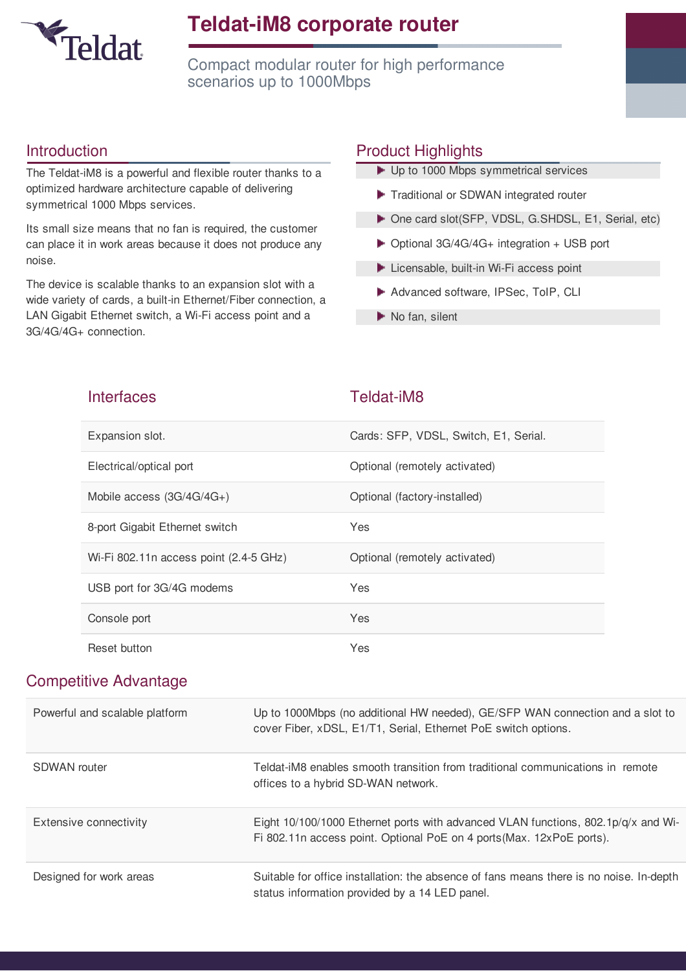

### **Teldat-iM8 corporate router**

Compact modular router for high performance scenarios up to 1000Mbps

#### Introduction

The Teldat-iM8 is a powerful and flexible router thanks to a optimized hardware architecture capable of delivering symmetrical 1000 Mbps services.

Its small size means that no fan is required, the customer can place it in work areas because it does not produce any noise.

The device is scalable thanks to an expansion slot with a wide variety of cards, a built-in Ethernet/Fiber connection, a LAN Gigabit Ethernet switch, a Wi-Fi access point and a 3G/4G/4G+ connection.

#### Product Highlights

| ▶ Up to 1000 Mbps symmetrical services                     |
|------------------------------------------------------------|
| Traditional or SDWAN integrated router                     |
| ▶ One card slot(SFP, VDSL, G.SHDSL, E1, Serial, etc)       |
| $\triangleright$ Optional 3G/4G/4G+ integration + USB port |
| Licensable, built-in Wi-Fi access point                    |
| Advanced software, IPSec, ToIP, CLI                        |
| $\blacktriangleright$ No fan, silent                       |

| <b>Interfaces</b>                      | Teldat-iM8                            |
|----------------------------------------|---------------------------------------|
| Expansion slot.                        | Cards: SFP, VDSL, Switch, E1, Serial. |
| Electrical/optical port                | Optional (remotely activated)         |
| Mobile access $(3G/4G/4G+)$            | Optional (factory-installed)          |
| 8-port Gigabit Ethernet switch         | Yes                                   |
| Wi-Fi 802.11n access point (2.4-5 GHz) | Optional (remotely activated)         |
| USB port for 3G/4G modems              | Yes                                   |
| Console port                           | Yes                                   |
| Reset button                           | Yes                                   |

#### Competitive Advantage

| Powerful and scalable platform | Up to 1000Mbps (no additional HW needed), GE/SFP WAN connection and a slot to<br>cover Fiber, xDSL, E1/T1, Serial, Ethernet PoE switch options.                |
|--------------------------------|----------------------------------------------------------------------------------------------------------------------------------------------------------------|
| <b>SDWAN</b> router            | Teldat-iM8 enables smooth transition from traditional communications in remote<br>offices to a hybrid SD-WAN network.                                          |
| Extensive connectivity         | Eight $10/100/1000$ Ethernet ports with advanced VLAN functions, $802.1p/q/x$ and Wi-<br>Fi 802.11n access point. Optional PoE on 4 ports (Max. 12xPoE ports). |
| Designed for work areas        | Suitable for office installation: the absence of fans means there is no noise. In-depth<br>status information provided by a 14 LED panel.                      |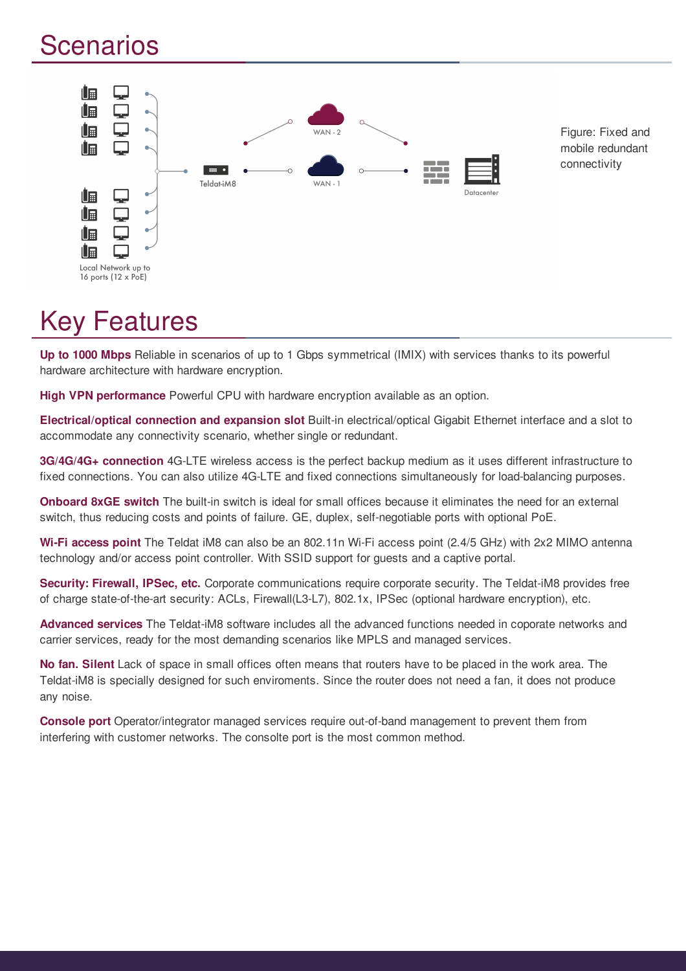## Scenarios



## Key Features

**Up to 1000 Mbps** Reliable in scenarios of up to 1 Gbps symmetrical (IMIX) with services thanks to its powerful hardware architecture with hardware encryption.

**High VPN performance** Powerful CPU with hardware encryption available as an option.

**Electrical/optical connection and expansion slot** Built-in electrical/optical Gigabit Ethernet interface and a slot to accommodate any connectivity scenario, whether single or redundant.

**3G/4G/4G+ connection** 4G-LTE wireless access is the perfect backup medium as it uses different infrastructure to fixed connections. You can also utilize 4G-LTE and fixed connections simultaneously for load-balancing purposes.

**Onboard 8xGE switch** The built-in switch is ideal for small offices because it eliminates the need for an external switch, thus reducing costs and points of failure. GE, duplex, self-negotiable ports with optional PoE.

**Wi-Fi access point** The Teldat iM8 can also be an 802.11n Wi-Fi access point (2.4/5 GHz) with 2x2 MIMO antenna technology and/or access point controller. With SSID support for guests and a captive portal.

**Security: Firewall, IPSec, etc.** Corporate communications require corporate security. The Teldat-iM8 provides free of charge state-of-the-art security: ACLs, Firewall(L3-L7), 802.1x, IPSec (optional hardware encryption), etc.

**Advanced services** The Teldat-iM8 software includes all the advanced functions needed in coporate networks and carrier services, ready for the most demanding scenarios like MPLS and managed services.

**No fan. Silent** Lack of space in small offices often means that routers have to be placed in the work area. The Teldat-iM8 is specially designed for such enviroments. Since the router does not need a fan, it does not produce any noise.

**Console port** Operator/integrator managed services require out-of-band management to prevent them from interfering with customer networks. The consolte port is the most common method.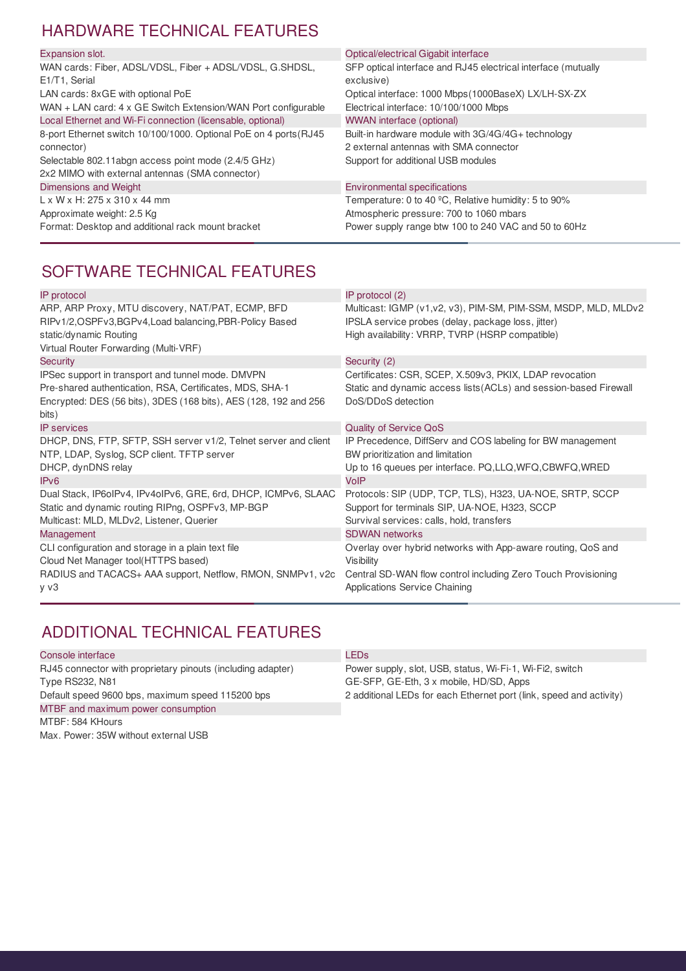#### HARDWARE TECHNICAL FEATURES

| Expansion slot.                                                   | Optical/electrical Gigabit interface                          |
|-------------------------------------------------------------------|---------------------------------------------------------------|
| WAN cards: Fiber, ADSL/VDSL, Fiber + ADSL/VDSL, G.SHDSL,          | SFP optical interface and RJ45 electrical interface (mutually |
| E1/T1, Serial                                                     | exclusive)                                                    |
| LAN cards: 8xGE with optional PoE                                 | Optical interface: 1000 Mbps (1000BaseX) LX/LH-SX-ZX          |
| WAN + LAN card: 4 x GE Switch Extension/WAN Port configurable     | Electrical interface: 10/100/1000 Mbps                        |
| Local Ethernet and Wi-Fi connection (licensable, optional)        | <b>WWAN</b> interface (optional)                              |
| 8-port Ethernet switch 10/100/1000. Optional PoE on 4 ports (RJ45 | Built-in hardware module with 3G/4G/4G+ technology            |
| connector)                                                        | 2 external antennas with SMA connector                        |
| Selectable 802.11 abgn access point mode (2.4/5 GHz)              | Support for additional USB modules                            |
| 2x2 MIMO with external antennas (SMA connector)                   |                                                               |
| Dimensions and Weight                                             | <b>Environmental specifications</b>                           |
| $L \times W \times H$ : 275 x 310 x 44 mm                         | Temperature: 0 to 40 °C, Relative humidity: 5 to 90%          |
| Approximate weight: 2.5 Kg                                        | Atmospheric pressure: 700 to 1060 mbars                       |
| Format: Desktop and additional rack mount bracket                 | Power supply range btw 100 to 240 VAC and 50 to 60Hz          |
|                                                                   |                                                               |

#### SOFTWARE TECHNICAL FEATURES

| IP protocol                                                      | IP protocol (2)                                                   |
|------------------------------------------------------------------|-------------------------------------------------------------------|
| ARP, ARP Proxy, MTU discovery, NAT/PAT, ECMP, BFD                | Multicast: IGMP (v1,v2, v3), PIM-SM, PIM-SSM, MSDP, MLD, MLDv2    |
| RIPv1/2,OSPFv3,BGPv4,Load balancing,PBR-Policy Based             | IPSLA service probes (delay, package loss, jitter)                |
| static/dynamic Routing                                           | High availability: VRRP, TVRP (HSRP compatible)                   |
| Virtual Router Forwarding (Multi-VRF)                            |                                                                   |
| <b>Security</b>                                                  | Security (2)                                                      |
| IPSec support in transport and tunnel mode. DMVPN                | Certificates: CSR, SCEP, X.509v3, PKIX, LDAP revocation           |
| Pre-shared authentication, RSA, Certificates, MDS, SHA-1         | Static and dynamic access lists (ACLs) and session-based Firewall |
| Encrypted: DES (56 bits), 3DES (168 bits), AES (128, 192 and 256 | DoS/DDoS detection                                                |
| bits)                                                            |                                                                   |
| <b>IP</b> services                                               | <b>Quality of Service QoS</b>                                     |
| DHCP, DNS, FTP, SFTP, SSH server v1/2, Telnet server and client  | IP Precedence, DiffServ and COS labeling for BW management        |
| NTP, LDAP, Syslog, SCP client. TFTP server                       | BW prioritization and limitation                                  |
| DHCP, dynDNS relay                                               | Up to 16 queues per interface. PQ, LLQ, WFQ, CBWFQ, WRED          |
| IP <sub>v6</sub>                                                 | VoIP                                                              |
| Dual Stack, IP6oIPv4, IPv4oIPv6, GRE, 6rd, DHCP, ICMPv6, SLAAC   | Protocols: SIP (UDP, TCP, TLS), H323, UA-NOE, SRTP, SCCP          |
| Static and dynamic routing RIPng, OSPFv3, MP-BGP                 | Support for terminals SIP, UA-NOE, H323, SCCP                     |
| Multicast: MLD, MLDv2, Listener, Querier                         | Survival services: calls, hold, transfers                         |
| Management                                                       | <b>SDWAN networks</b>                                             |
| CLI configuration and storage in a plain text file               | Overlay over hybrid networks with App-aware routing, QoS and      |
| Cloud Net Manager tool(HTTPS based)                              | Visibility                                                        |
| RADIUS and TACACS+ AAA support, Netflow, RMON, SNMPv1, v2c       | Central SD-WAN flow control including Zero Touch Provisioning     |
| y v3                                                             | Applications Service Chaining                                     |
|                                                                  |                                                                   |

#### ADDITIONAL TECHNICAL FEATURES

| Console interface                                           | LEDs                                                                |
|-------------------------------------------------------------|---------------------------------------------------------------------|
| RJ45 connector with proprietary pinouts (including adapter) | Power supply, slot, USB, status, Wi-Fi-1, Wi-Fi2, switch            |
| <b>Type RS232, N81</b>                                      | GE-SFP, GE-Eth, 3 x mobile, HD/SD, Apps                             |
| Default speed 9600 bps, maximum speed 115200 bps            | 2 additional LEDs for each Ethernet port (link, speed and activity) |
| MTBF and maximum power consumption                          |                                                                     |
| MTBF: 584 KHours                                            |                                                                     |
| Max. Power: 35W without external USB                        |                                                                     |